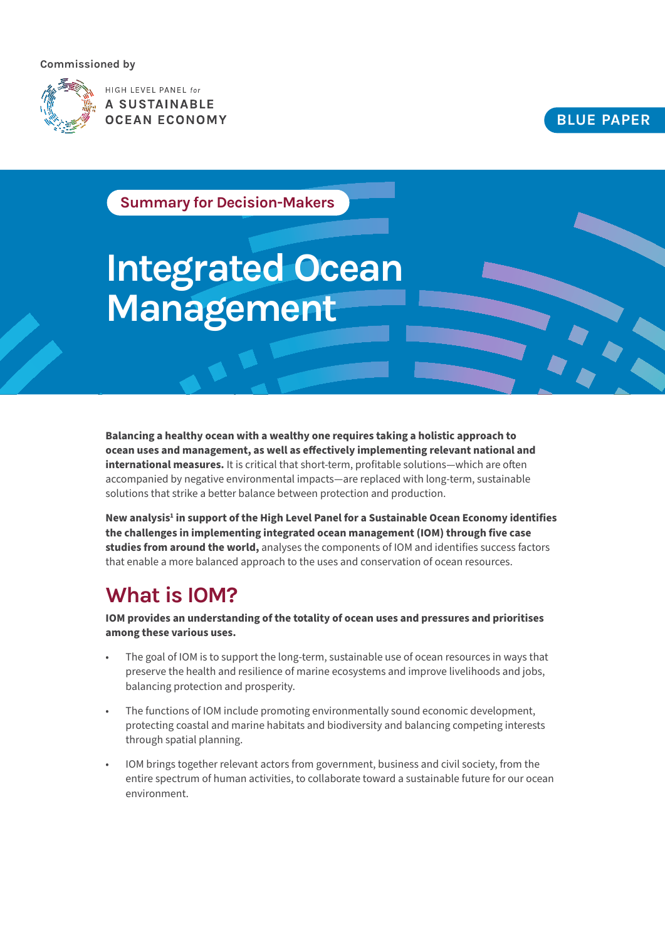#### **Commissioned by**



HIGH LEVEL PANEL for A SUSTAINABLE **OCEAN ECONOMY** 

#### **BLUE PAPER**

**Summary for Decision-Makers**

# **Integrated Ocean Management**

**Balancing a healthy ocean with a wealthy one requires taking a holistic approach to ocean uses and management, as well as effectively implementing relevant national and international measures.** It is critical that short-term, profitable solutions—which are often accompanied by negative environmental impacts—are replaced with long-term, sustainable solutions that strike a better balance between protection and production.

New analysis<sup>1</sup> in support of the High Level Panel for a Sustainable Ocean Economy identifies **the challenges in implementing integrated ocean management (IOM) through five case studies from around the world,** analyses the components of IOM and identifies success factors that enable a more balanced approach to the uses and conservation of ocean resources.

### **What is IOM?**

**IOM provides an understanding of the totality of ocean uses and pressures and prioritises among these various uses.** 

- The goal of IOM is to support the long-term, sustainable use of ocean resources in ways that preserve the health and resilience of marine ecosystems and improve livelihoods and jobs, balancing protection and prosperity.
- The functions of IOM include promoting environmentally sound economic development, protecting coastal and marine habitats and biodiversity and balancing competing interests through spatial planning.
- IOM brings together relevant actors from government, business and civil society, from the entire spectrum of human activities, to collaborate toward a sustainable future for our ocean environment.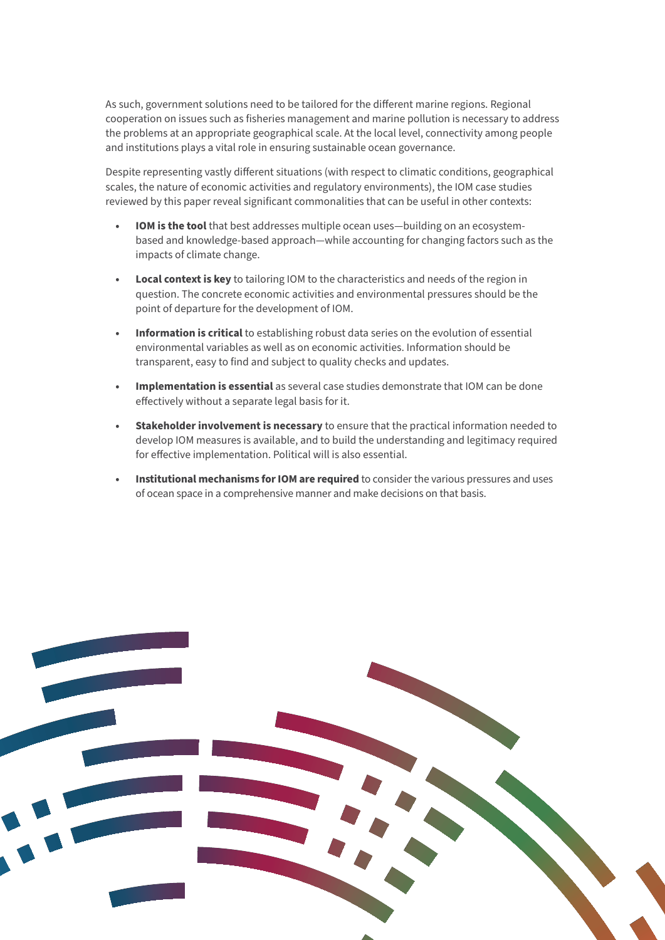As such, government solutions need to be tailored for the different marine regions. Regional cooperation on issues such as fisheries management and marine pollution is necessary to address the problems at an appropriate geographical scale. At the local level, connectivity among people and institutions plays a vital role in ensuring sustainable ocean governance.

Despite representing vastly different situations (with respect to climatic conditions, geographical scales, the nature of economic activities and regulatory environments), the IOM case studies reviewed by this paper reveal significant commonalities that can be useful in other contexts:

- **• IOM is the tool** that best addresses multiple ocean uses—building on an ecosystembased and knowledge-based approach—while accounting for changing factors such as the impacts of climate change.
- **• Local context is key** to tailoring IOM to the characteristics and needs of the region in question. The concrete economic activities and environmental pressures should be the point of departure for the development of IOM.
- **• Information is critical** to establishing robust data series on the evolution of essential environmental variables as well as on economic activities. Information should be transparent, easy to find and subject to quality checks and updates.
- **• Implementation is essential** as several case studies demonstrate that IOM can be done effectively without a separate legal basis for it.
- **• Stakeholder involvement is necessary** to ensure that the practical information needed to develop IOM measures is available, and to build the understanding and legitimacy required for effective implementation. Political will is also essential.
- **• Institutional mechanisms for IOM are required** to consider the various pressures and uses of ocean space in a comprehensive manner and make decisions on that basis.

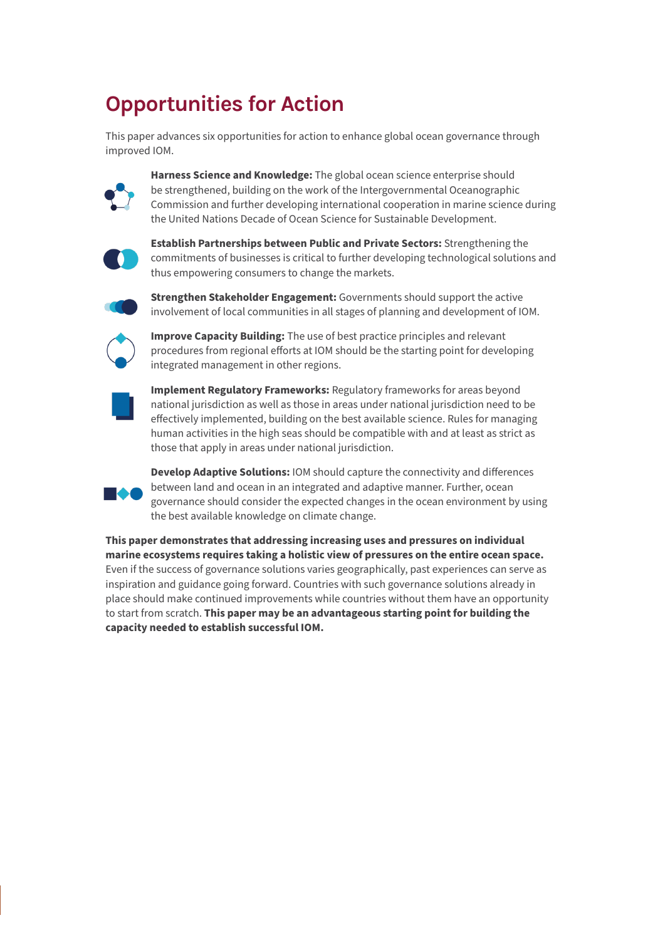## **Opportunities for Action**

This paper advances six opportunities for action to enhance global ocean governance through improved IOM.



**Harness Science and Knowledge:** The global ocean science enterprise should be strengthened, building on the work of the Intergovernmental Oceanographic Commission and further developing international cooperation in marine science during the United Nations Decade of Ocean Science for Sustainable Development.



**Establish Partnerships between Public and Private Sectors:** Strengthening the commitments of businesses is critical to further developing technological solutions and thus empowering consumers to change the markets.



**Strengthen Stakeholder Engagement:** Governments should support the active involvement of local communities in all stages of planning and development of IOM.



**Improve Capacity Building:** The use of best practice principles and relevant procedures from regional efforts at IOM should be the starting point for developing integrated management in other regions.



**Implement Regulatory Frameworks:** Regulatory frameworks for areas beyond national jurisdiction as well as those in areas under national jurisdiction need to be effectively implemented, building on the best available science. Rules for managing human activities in the high seas should be compatible with and at least as strict as those that apply in areas under national jurisdiction.



**Develop Adaptive Solutions:** IOM should capture the connectivity and differences between land and ocean in an integrated and adaptive manner. Further, ocean governance should consider the expected changes in the ocean environment by using the best available knowledge on climate change.

**This paper demonstrates that addressing increasing uses and pressures on individual marine ecosystems requires taking a holistic view of pressures on the entire ocean space.**  Even if the success of governance solutions varies geographically, past experiences can serve as inspiration and guidance going forward. Countries with such governance solutions already in place should make continued improvements while countries without them have an opportunity to start from scratch. **This paper may be an advantageous starting point for building the capacity needed to establish successful IOM.**